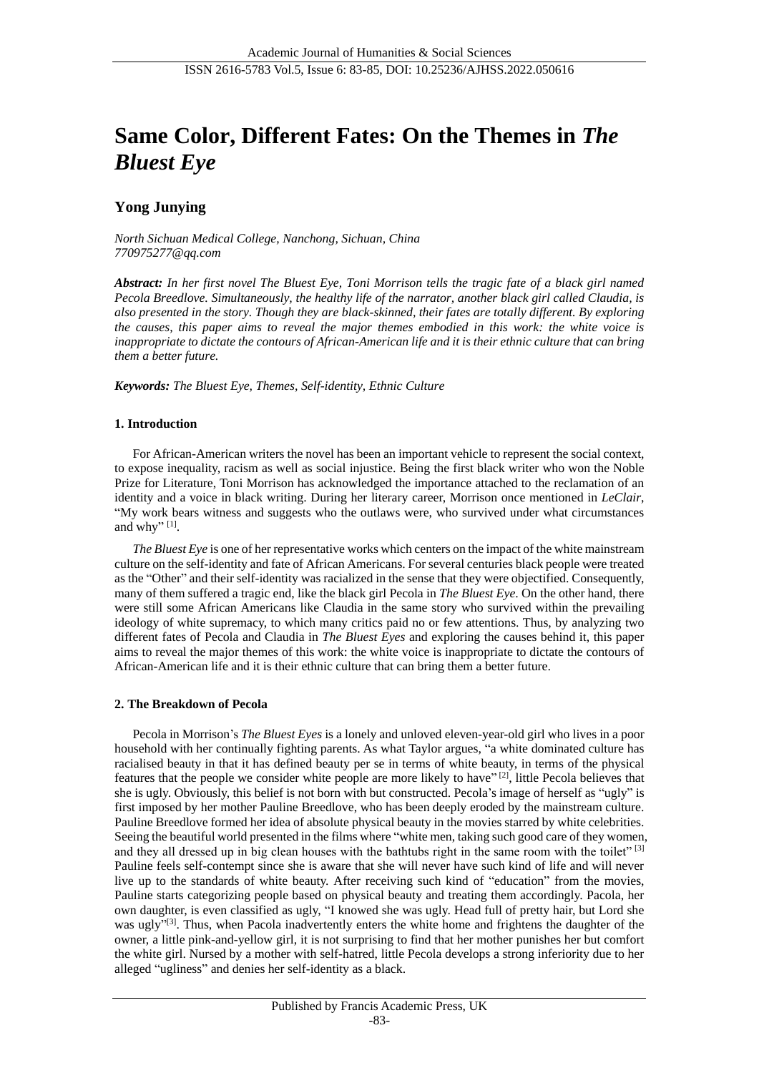# **Same Color, Different Fates: On the Themes in** *The Bluest Eye*

# **Yong Junying**

*North Sichuan Medical College, Nanchong, Sichuan, China 770975277@qq.com*

*Abstract: In her first novel The Bluest Eye, Toni Morrison tells the tragic fate of a black girl named Pecola Breedlove. Simultaneously, the healthy life of the narrator, another black girl called Claudia, is also presented in the story. Though they are black-skinned, their fates are totally different. By exploring the causes, this paper aims to reveal the major themes embodied in this work: the white voice is inappropriate to dictate the contours of African-American life and it is their ethnic culture that can bring them a better future.* 

*Keywords: The Bluest Eye, Themes, Self-identity, Ethnic Culture*

## **1. Introduction**

For African-American writers the novel has been an important vehicle to represent the social context, to expose inequality, racism as well as social injustice. Being the first black writer who won the Noble Prize for Literature, Toni Morrison has acknowledged the importance attached to the reclamation of an identity and a voice in black writing. During her literary career, Morrison once mentioned in *LeClair*, "My work bears witness and suggests who the outlaws were, who survived under what circumstances and why" $^{[1]}$ .

*The Bluest Eye* is one of her representative works which centers on the impact of the white mainstream culture on the self-identity and fate of African Americans. For several centuries black people were treated as the "Other" and their self-identity was racialized in the sense that they were objectified. Consequently, many of them suffered a tragic end, like the black girl Pecola in *The Bluest Eye*. On the other hand, there were still some African Americans like Claudia in the same story who survived within the prevailing ideology of white supremacy, to which many critics paid no or few attentions. Thus, by analyzing two different fates of Pecola and Claudia in *The Bluest Eyes* and exploring the causes behind it, this paper aims to reveal the major themes of this work: the white voice is inappropriate to dictate the contours of African-American life and it is their ethnic culture that can bring them a better future.

## **2. The Breakdown of Pecola**

Pecola in Morrison's *The Bluest Eyes* is a lonely and unloved eleven-year-old girl who lives in a poor household with her continually fighting parents. As what Taylor argues, "a white dominated culture has racialised beauty in that it has defined beauty per se in terms of white beauty, in terms of the physical features that the people we consider white people are more likely to have"<sup>[2]</sup>, little Pecola believes that she is ugly. Obviously, this belief is not born with but constructed. Pecola's image of herself as "ugly" is first imposed by her mother Pauline Breedlove, who has been deeply eroded by the mainstream culture. Pauline Breedlove formed her idea of absolute physical beauty in the movies starred by white celebrities. Seeing the beautiful world presented in the films where "white men, taking such good care of they women, and they all dressed up in big clean houses with the bathtubs right in the same room with the toilet" [3] Pauline feels self-contempt since she is aware that she will never have such kind of life and will never live up to the standards of white beauty. After receiving such kind of "education" from the movies, Pauline starts categorizing people based on physical beauty and treating them accordingly. Pacola, her own daughter, is even classified as ugly, "I knowed she was ugly. Head full of pretty hair, but Lord she was ugly"<sup>[3]</sup>. Thus, when Pacola inadvertently enters the white home and frightens the daughter of the owner, a little pink-and-yellow girl, it is not surprising to find that her mother punishes her but comfort the white girl. Nursed by a mother with self-hatred, little Pecola develops a strong inferiority due to her alleged "ugliness" and denies her self-identity as a black.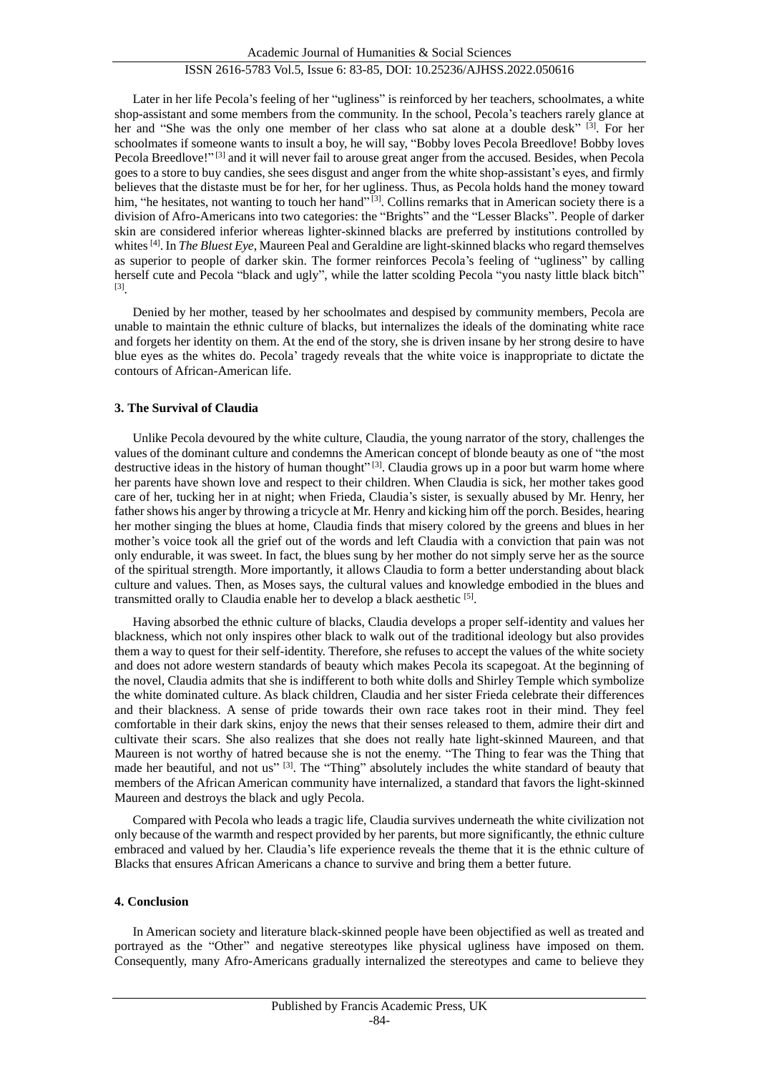Later in her life Pecola's feeling of her "ugliness" is reinforced by her teachers, schoolmates, a white shop-assistant and some members from the community. In the school, Pecola's teachers rarely glance at her and "She was the only one member of her class who sat alone at a double desk" [3]. For her schoolmates if someone wants to insult a boy, he will say, "Bobby loves Pecola Breedlove! Bobby loves Pecola Breedlove!"<sup>[3]</sup> and it will never fail to arouse great anger from the accused. Besides, when Pecola goes to a store to buy candies, she sees disgust and anger from the white shop-assistant's eyes, and firmly believes that the distaste must be for her, for her ugliness. Thus, as Pecola holds hand the money toward him, "he hesitates, not wanting to touch her hand"<sup>[3]</sup>. Collins remarks that in American society there is a division of Afro-Americans into two categories: the "Brights" and the "Lesser Blacks". People of darker skin are considered inferior whereas lighter-skinned blacks are preferred by institutions controlled by whites <sup>[4]</sup>. In *The Bluest Eye*, Maureen Peal and Geraldine are light-skinned blacks who regard themselves as superior to people of darker skin. The former reinforces Pecola's feeling of "ugliness" by calling herself cute and Pecola "black and ugly", while the latter scolding Pecola "you nasty little black bitch" [3] .

Denied by her mother, teased by her schoolmates and despised by community members, Pecola are unable to maintain the ethnic culture of blacks, but internalizes the ideals of the dominating white race and forgets her identity on them. At the end of the story, she is driven insane by her strong desire to have blue eyes as the whites do. Pecola' tragedy reveals that the white voice is inappropriate to dictate the contours of African-American life.

# **3. The Survival of Claudia**

Unlike Pecola devoured by the white culture, Claudia, the young narrator of the story, challenges the values of the dominant culture and condemns the American concept of blonde beauty as one of "the most destructive ideas in the history of human thought" $[3]$ . Claudia grows up in a poor but warm home where her parents have shown love and respect to their children. When Claudia is sick, her mother takes good care of her, tucking her in at night; when Frieda, Claudia's sister, is sexually abused by Mr. Henry, her father shows his anger by throwing a tricycle at Mr. Henry and kicking him off the porch. Besides, hearing her mother singing the blues at home, Claudia finds that misery colored by the greens and blues in her mother's voice took all the grief out of the words and left Claudia with a conviction that pain was not only endurable, it was sweet. In fact, the blues sung by her mother do not simply serve her as the source of the spiritual strength. More importantly, it allows Claudia to form a better understanding about black culture and values. Then, as Moses says, the cultural values and knowledge embodied in the blues and transmitted orally to Claudia enable her to develop a black aesthetic [5].

Having absorbed the ethnic culture of blacks, Claudia develops a proper self-identity and values her blackness, which not only inspires other black to walk out of the traditional ideology but also provides them a way to quest for their self-identity. Therefore, she refuses to accept the values of the white society and does not adore western standards of beauty which makes Pecola its scapegoat. At the beginning of the novel, Claudia admits that she is indifferent to both white dolls and Shirley Temple which symbolize the white dominated culture. As black children, Claudia and her sister Frieda celebrate their differences and their blackness. A sense of pride towards their own race takes root in their mind. They feel comfortable in their dark skins, enjoy the news that their senses released to them, admire their dirt and cultivate their scars. She also realizes that she does not really hate light-skinned Maureen, and that Maureen is not worthy of hatred because she is not the enemy. "The Thing to fear was the Thing that made her beautiful, and not us"<sup>[3]</sup>. The "Thing" absolutely includes the white standard of beauty that members of the African American community have internalized, a standard that favors the light-skinned Maureen and destroys the black and ugly Pecola.

Compared with Pecola who leads a tragic life, Claudia survives underneath the white civilization not only because of the warmth and respect provided by her parents, but more significantly, the ethnic culture embraced and valued by her. Claudia's life experience reveals the theme that it is the ethnic culture of Blacks that ensures African Americans a chance to survive and bring them a better future.

## **4. Conclusion**

In American society and literature black-skinned people have been objectified as well as treated and portrayed as the "Other" and negative stereotypes like physical ugliness have imposed on them. Consequently, many Afro-Americans gradually internalized the stereotypes and came to believe they